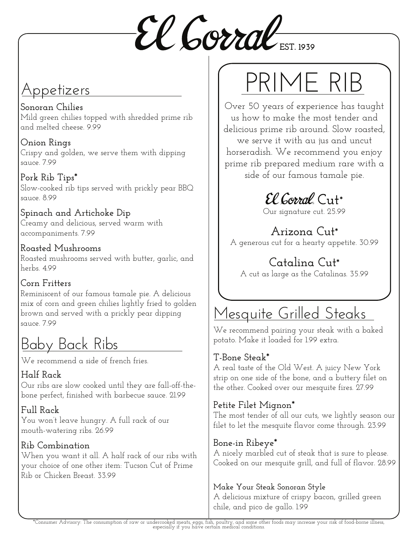$\mathcal{E}\ell$  **Gorral** EST. 1939

### Appetizers

**Sonoran Chilies**  Mild green chilies topped with shredded prime rib and melted cheese. 9.99

**Onion Rings** Crispy and golden, we serve them with dipping sauce. 7.99

**Pork Rib Tips\*** Slow-cooked rib tips served with prickly pear BBQ sauce. 8.99

**Spinach and Artichoke Dip** Creamy and delicious, served warm with accompaniments. 7.99

#### **Roasted Mushrooms** Roasted mushrooms served with butter, garlic, and herbs. 4.99

#### **Corn Fritters**

Reminiscent of our famous tamale pie. A delicious mix of corn and green chilies lightly fried to golden brown and served with a prickly pear dipping sauce. 7.99

# Baby Back Ribs

We recommend a side of french fries.

#### **Half Rack**

Our ribs are slow cooked until they are fall-off-thebone perfect, finished with barbecue sauce. 21.99

**Full Rack**  You won't leave hungry. A full rack of our mouth-watering ribs. 26.99

#### **Rib Combination**

When you want it all. A half rack of our ribs with your choice of one other item: Tucson Cut of Prime Rib or Chicken Breast. 33.99

# PRIME RIB

Over 50 years of experience has taught us how to make the most tender and delicious prime rib around. Slow roasted, we serve it with au jus and uncut horseradish. We recommend you enjoy prime rib prepared medium rare with a side of our famous tamale pie.

 $\mathcal{E}\ell$  Corral Cut<sup>\*</sup>

Our signature cut. 25.99

### **Arizona Cut\***

A generous cut for a hearty appetite. 30.99

#### **Catalina Cut\*** A cut as large as the Catalinas. 35.99

# Mesquite Grilled Steaks

We recommend pairing your steak with a baked potato. Make it loaded for 1.99 extra.

#### **T-Bone Steak\***

A real taste of the Old West. A juicy New York strip on one side of the bone, and a buttery filet on the other. Cooked over our mesquite fires. 27.99

#### **Petite Filet Mignon\***

The most tender of all our cuts, we lightly season our filet to let the mesquite flavor come through. 23.99

#### **Bone-in Ribeye\***

A nicely marbled cut of steak that is sure to please. Cooked on our mesquite grill, and full of flavor. 28.99

#### **Make Your Steak Sonoran Style**

A delicious mixture of crispy bacon, grilled green chile, and pico de gallo. 1.99

\*Consumer Advisory: The consumption of raw or undercooked meats, eggs, fish, poultry, and some other foods may increase your risk of food-borne illness, especially if you have certain medical conditions.